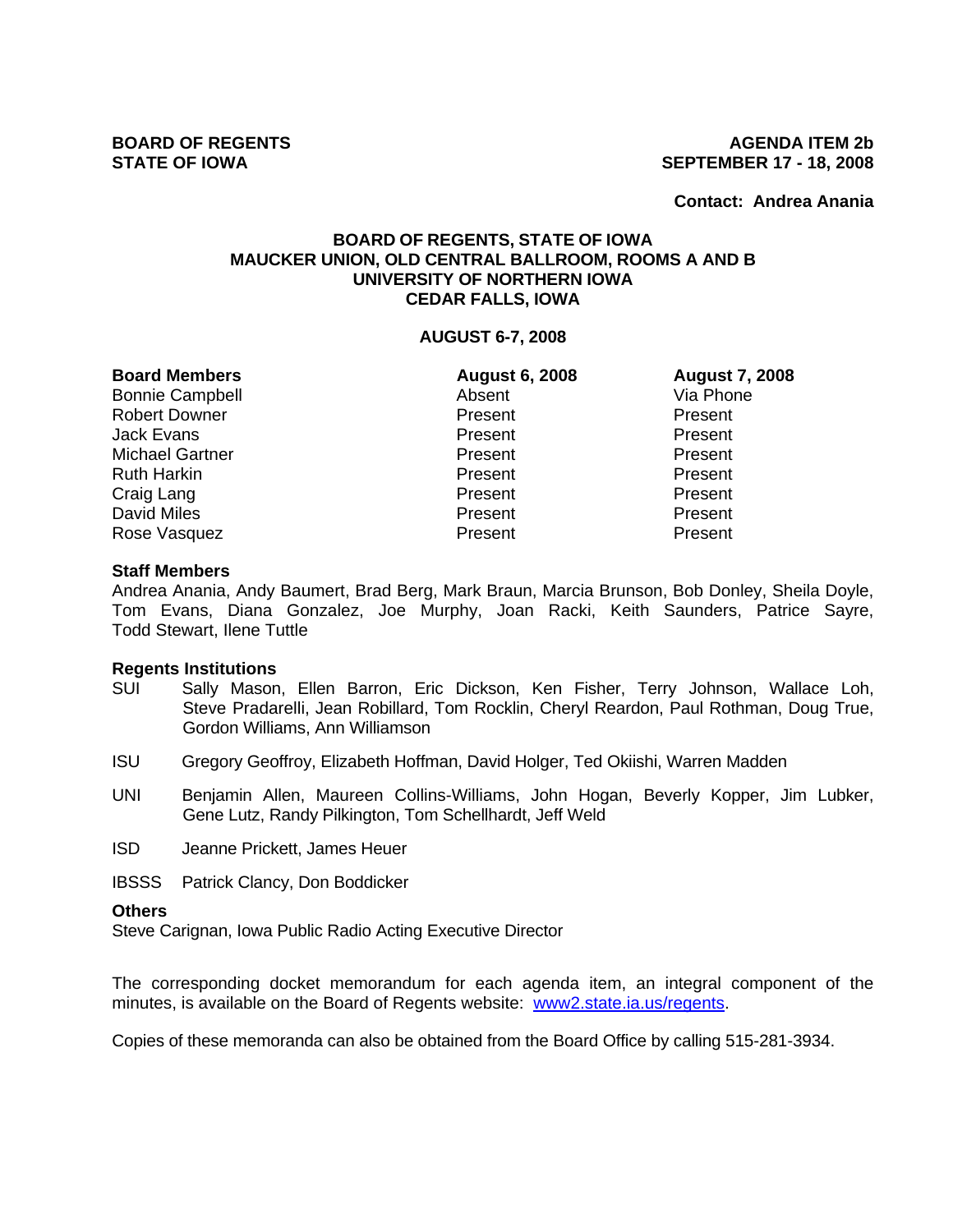**Contact: Andrea Anania**

## **BOARD OF REGENTS, STATE OF IOWA MAUCKER UNION, OLD CENTRAL BALLROOM, ROOMS A AND B UNIVERSITY OF NORTHERN IOWA CEDAR FALLS, IOWA**

### **AUGUST 6-7, 2008**

| <b>Board Members</b>   | <b>August 6, 2008</b> | <b>August 7, 2008</b> |
|------------------------|-----------------------|-----------------------|
| <b>Bonnie Campbell</b> | Absent                | Via Phone             |
| <b>Robert Downer</b>   | Present               | Present               |
| <b>Jack Evans</b>      | Present               | Present               |
| <b>Michael Gartner</b> | Present               | Present               |
| <b>Ruth Harkin</b>     | Present               | Present               |
| Craig Lang             | Present               | Present               |
| <b>David Miles</b>     | Present               | Present               |
| Rose Vasquez           | Present               | Present               |

### **Staff Members**

Andrea Anania, Andy Baumert, Brad Berg, Mark Braun, Marcia Brunson, Bob Donley, Sheila Doyle, Tom Evans, Diana Gonzalez, Joe Murphy, Joan Racki, Keith Saunders, Patrice Sayre, Todd Stewart, Ilene Tuttle

### **Regents Institutions**

- SUI Sally Mason, Ellen Barron, Eric Dickson, Ken Fisher, Terry Johnson, Wallace Loh, Steve Pradarelli, Jean Robillard, Tom Rocklin, Cheryl Reardon, Paul Rothman, Doug True, Gordon Williams, Ann Williamson
- ISU Gregory Geoffroy, Elizabeth Hoffman, David Holger, Ted Okiishi, Warren Madden
- UNI Benjamin Allen, Maureen Collins-Williams, John Hogan, Beverly Kopper, Jim Lubker, Gene Lutz, Randy Pilkington, Tom Schellhardt, Jeff Weld
- ISD Jeanne Prickett, James Heuer

IBSSS Patrick Clancy, Don Boddicker

## **Others**

Steve Carignan, Iowa Public Radio Acting Executive Director

The corresponding docket memorandum for each agenda item, an integral component of the minutes, is available on the Board of Regents website: www2.state.ia.us/regents.

Copies of these memoranda can also be obtained from the Board Office by calling 515-281-3934.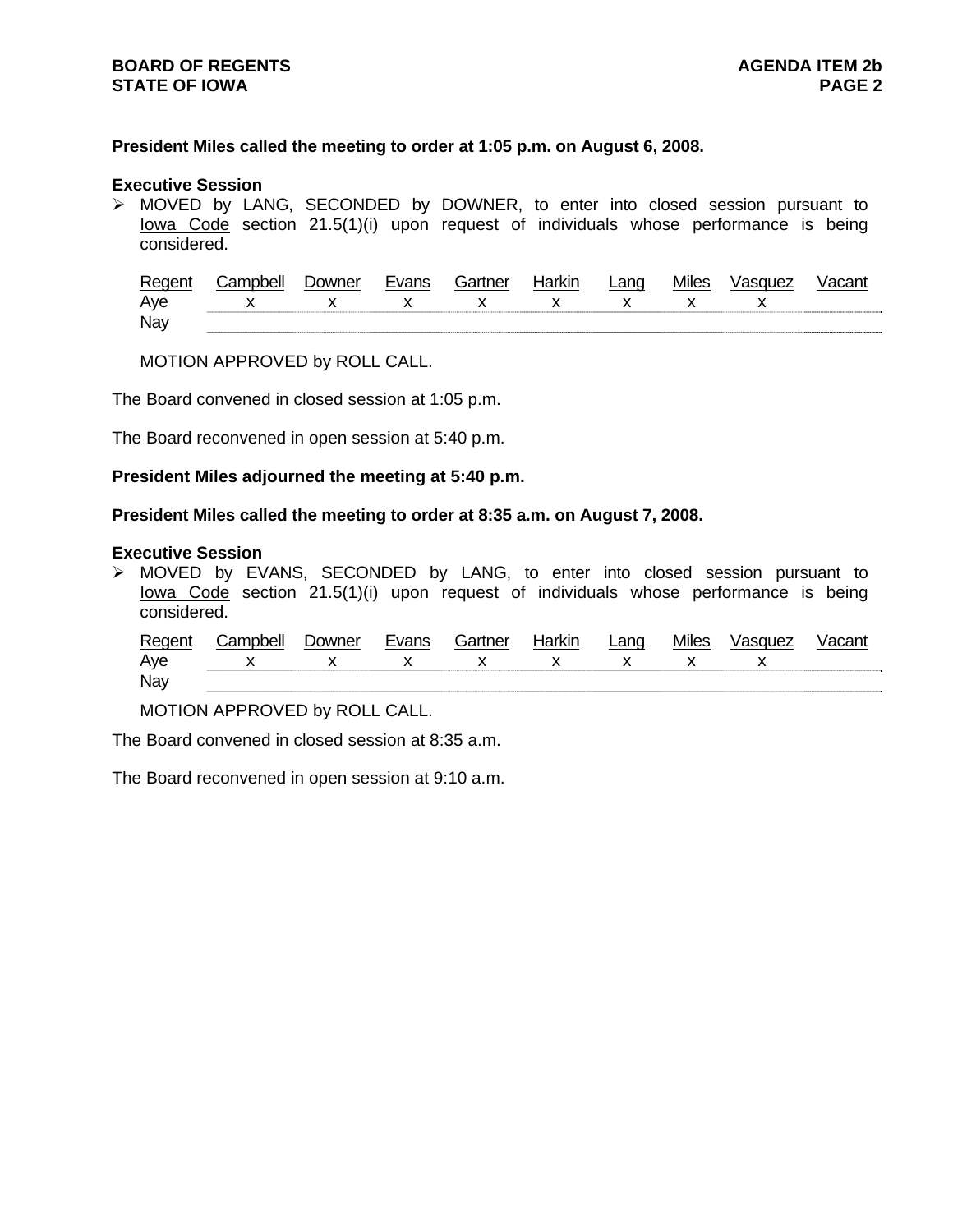## **President Miles called the meeting to order at 1:05 p.m. on August 6, 2008.**

#### **Executive Session**

¾ MOVED by LANG, SECONDED by DOWNER, to enter into closed session pursuant to Iowa Code section 21.5(1)(i) upon request of individuals whose performance is being considered.

| Regent | Campbell        | <b>Downer</b> | Evans | Gartner | Harkin | Lang | <b>Miles</b> | Vasquez |  |
|--------|-----------------|---------------|-------|---------|--------|------|--------------|---------|--|
| Aye    | x x x x x x x x |               |       |         |        |      |              |         |  |
| Nay    |                 |               |       |         |        |      |              |         |  |

MOTION APPROVED by ROLL CALL.

The Board convened in closed session at 1:05 p.m.

The Board reconvened in open session at 5:40 p.m.

### **President Miles adjourned the meeting at 5:40 p.m.**

## **President Miles called the meeting to order at 8:35 a.m. on August 7, 2008.**

#### **Executive Session**

¾ MOVED by EVANS, SECONDED by LANG, to enter into closed session pursuant to Iowa Code section 21.5(1)(i) upon request of individuals whose performance is being considered.

|     | Regent Campbell   | Downer | Evans | Gartner | Harkin |  | Lang Miles Vasquez | Vacant |
|-----|-------------------|--------|-------|---------|--------|--|--------------------|--------|
| Aye | $X$ x x x x x x x |        |       |         |        |  |                    |        |
| Nay |                   |        |       |         |        |  |                    |        |

MOTION APPROVED by ROLL CALL.

The Board convened in closed session at 8:35 a.m.

The Board reconvened in open session at 9:10 a.m.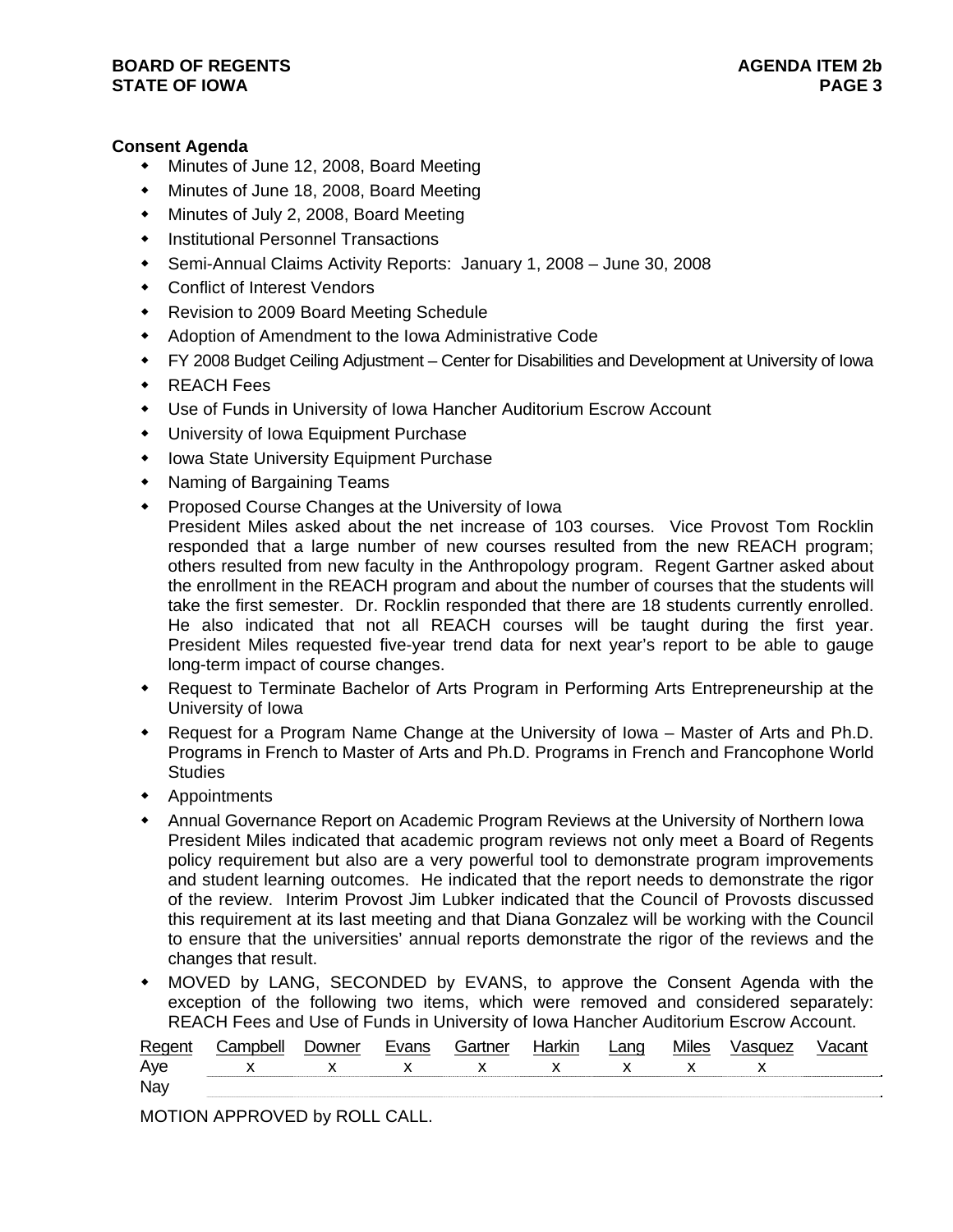# **Consent Agenda**

- Minutes of June 12, 2008, Board Meeting
- Minutes of June 18, 2008, Board Meeting
- Minutes of July 2, 2008, Board Meeting
- Institutional Personnel Transactions
- Semi-Annual Claims Activity Reports: January 1, 2008 June 30, 2008
- Conflict of Interest Vendors
- Revision to 2009 Board Meeting Schedule
- Adoption of Amendment to the Iowa Administrative Code
- FY 2008 Budget Ceiling Adjustment Center for Disabilities and Development at University of Iowa
- ◆ REACH Fees
- Use of Funds in University of Iowa Hancher Auditorium Escrow Account
- University of Iowa Equipment Purchase
- Iowa State University Equipment Purchase
- Naming of Bargaining Teams
- **Proposed Course Changes at the University of Iowa** 
	- President Miles asked about the net increase of 103 courses. Vice Provost Tom Rocklin responded that a large number of new courses resulted from the new REACH program; others resulted from new faculty in the Anthropology program. Regent Gartner asked about the enrollment in the REACH program and about the number of courses that the students will take the first semester. Dr. Rocklin responded that there are 18 students currently enrolled. He also indicated that not all REACH courses will be taught during the first year. President Miles requested five-year trend data for next year's report to be able to gauge long-term impact of course changes.
- Request to Terminate Bachelor of Arts Program in Performing Arts Entrepreneurship at the University of Iowa
- Request for a Program Name Change at the University of Iowa Master of Arts and Ph.D. Programs in French to Master of Arts and Ph.D. Programs in French and Francophone World **Studies**
- Appointments
- Annual Governance Report on Academic Program Reviews at the University of Northern Iowa President Miles indicated that academic program reviews not only meet a Board of Regents policy requirement but also are a very powerful tool to demonstrate program improvements and student learning outcomes. He indicated that the report needs to demonstrate the rigor of the review. Interim Provost Jim Lubker indicated that the Council of Provosts discussed this requirement at its last meeting and that Diana Gonzalez will be working with the Council to ensure that the universities' annual reports demonstrate the rigor of the reviews and the changes that result.
- MOVED by LANG, SECONDED by EVANS, to approve the Consent Agenda with the exception of the following two items, which were removed and considered separately: REACH Fees and Use of Funds in University of Iowa Hancher Auditorium Escrow Account.

| Regent | Campbell                                                                                                                                                                                                                                                                                         | <b>Downer</b> | Evans        | Gartner      | Harkin       | $L$ ang      | <b>Miles</b> | Vasquez | Vacant |
|--------|--------------------------------------------------------------------------------------------------------------------------------------------------------------------------------------------------------------------------------------------------------------------------------------------------|---------------|--------------|--------------|--------------|--------------|--------------|---------|--------|
| Aye    | $\mathsf{X}$ and $\mathsf{X}$ and $\mathsf{X}$ are $\mathsf{X}$ and $\mathsf{X}$ are $\mathsf{X}$ and $\mathsf{X}$ are $\mathsf{X}$ and $\mathsf{X}$ are $\mathsf{X}$ and $\mathsf{X}$ are $\mathsf{X}$ and $\mathsf{X}$ are $\mathsf{X}$ and $\mathsf{X}$ are $\mathsf{X}$ and $\mathsf{X}$ are | $\mathbf{x}$  | $\mathbf{x}$ | $\mathbf{x}$ | $\mathsf{X}$ | $\mathsf{X}$ |              |         |        |
| Nay    |                                                                                                                                                                                                                                                                                                  |               |              |              |              |              |              |         |        |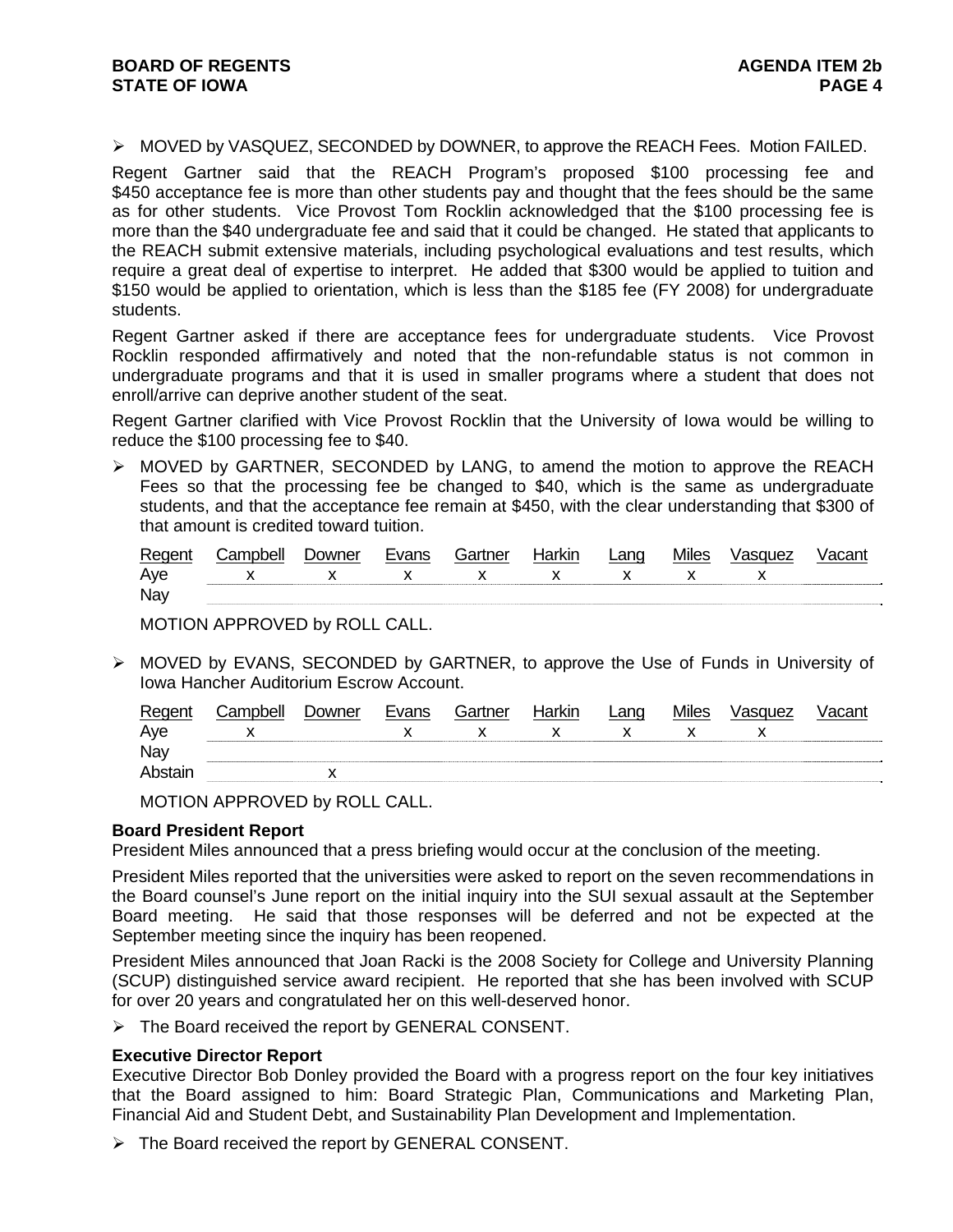#### ¾ MOVED by VASQUEZ, SECONDED by DOWNER, to approve the REACH Fees. Motion FAILED.

Regent Gartner said that the REACH Program's proposed \$100 processing fee and \$450 acceptance fee is more than other students pay and thought that the fees should be the same as for other students. Vice Provost Tom Rocklin acknowledged that the \$100 processing fee is more than the \$40 undergraduate fee and said that it could be changed. He stated that applicants to the REACH submit extensive materials, including psychological evaluations and test results, which require a great deal of expertise to interpret. He added that \$300 would be applied to tuition and \$150 would be applied to orientation, which is less than the \$185 fee (FY 2008) for undergraduate students.

Regent Gartner asked if there are acceptance fees for undergraduate students. Vice Provost Rocklin responded affirmatively and noted that the non-refundable status is not common in undergraduate programs and that it is used in smaller programs where a student that does not enroll/arrive can deprive another student of the seat.

Regent Gartner clarified with Vice Provost Rocklin that the University of Iowa would be willing to reduce the \$100 processing fee to \$40.

 $\triangleright$  MOVED by GARTNER, SECONDED by LANG, to amend the motion to approve the REACH Fees so that the processing fee be changed to \$40, which is the same as undergraduate students, and that the acceptance fee remain at \$450, with the clear understanding that \$300 of that amount is credited toward tuition.

| Regent | Campbell                                   | <b>Downer</b> | Evans | Gartner | Harkin      | Lang           | <b>Miles</b> | Vasquez |  |
|--------|--------------------------------------------|---------------|-------|---------|-------------|----------------|--------------|---------|--|
| Aye    | $\mathsf{X}$ x $\mathsf{X}$ x $\mathsf{X}$ |               |       |         | $\mathbf x$ | $\mathsf{x}$ x |              |         |  |
| Nay    |                                            |               |       |         |             |                |              |         |  |

MOTION APPROVED by ROLL CALL.

¾ MOVED by EVANS, SECONDED by GARTNER, to approve the Use of Funds in University of Iowa Hancher Auditorium Escrow Account.

| Regent  | Campbell | Downer | Evans | Gartner | Harkin | $L$ ang | <b>Miles</b> | Vasquez | Vacant |
|---------|----------|--------|-------|---------|--------|---------|--------------|---------|--------|
| Aye     |          |        |       |         |        |         |              |         |        |
| Nay     |          |        |       |         |        |         |              |         |        |
| Abstain |          |        |       |         |        |         |              |         |        |

MOTION APPROVED by ROLL CALL.

## **Board President Report**

President Miles announced that a press briefing would occur at the conclusion of the meeting.

President Miles reported that the universities were asked to report on the seven recommendations in the Board counsel's June report on the initial inquiry into the SUI sexual assault at the September Board meeting. He said that those responses will be deferred and not be expected at the September meeting since the inquiry has been reopened.

President Miles announced that Joan Racki is the 2008 Society for College and University Planning (SCUP) distinguished service award recipient. He reported that she has been involved with SCUP for over 20 years and congratulated her on this well-deserved honor.

¾ The Board received the report by GENERAL CONSENT.

## **Executive Director Report**

Executive Director Bob Donley provided the Board with a progress report on the four key initiatives that the Board assigned to him: Board Strategic Plan, Communications and Marketing Plan, Financial Aid and Student Debt, and Sustainability Plan Development and Implementation.

 $\triangleright$  The Board received the report by GENERAL CONSENT.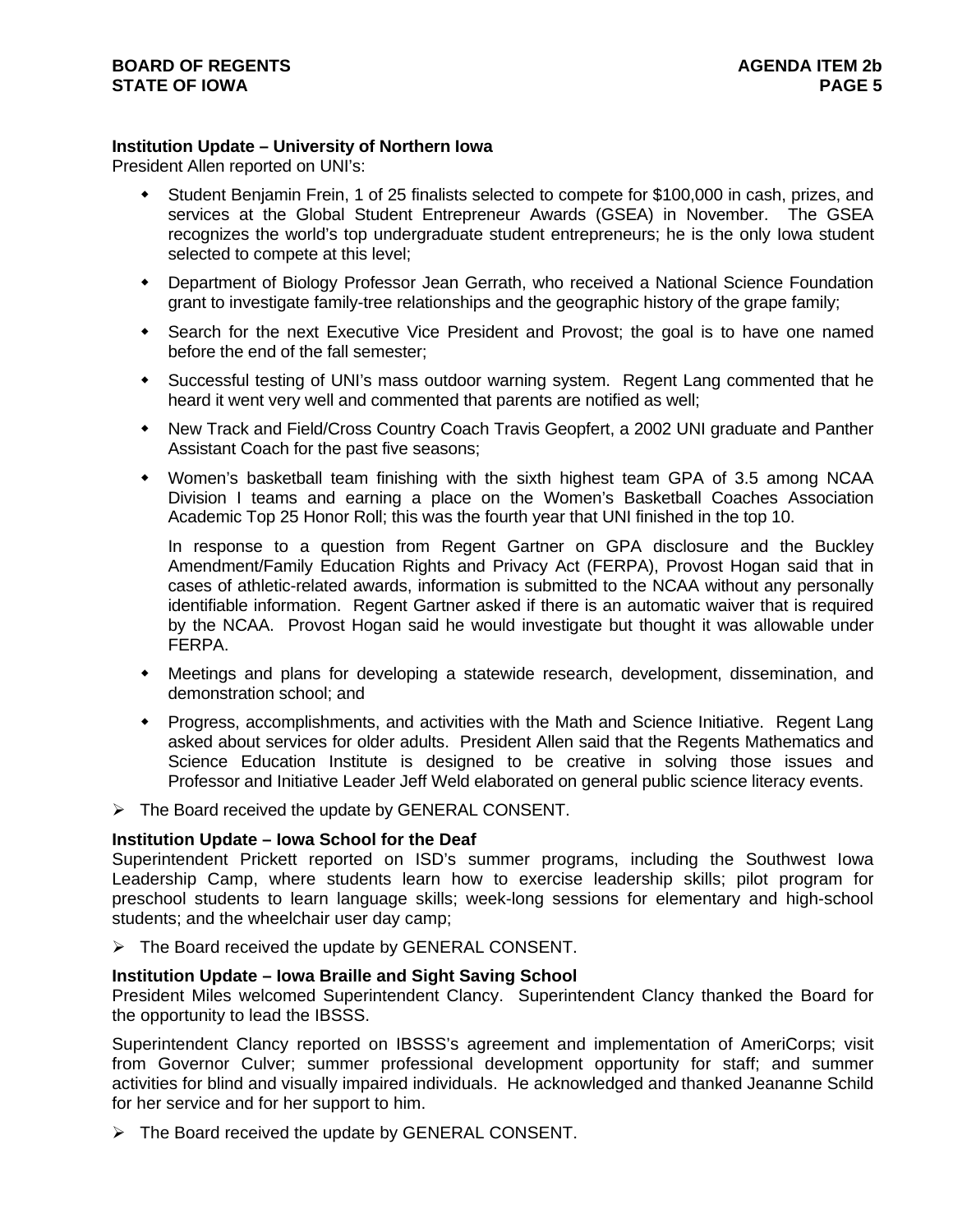# **Institution Update – University of Northern Iowa**

President Allen reported on UNI's:

- Student Benjamin Frein, 1 of 25 finalists selected to compete for \$100,000 in cash, prizes, and services at the Global Student Entrepreneur Awards (GSEA) in November. The GSEA recognizes the world's top undergraduate student entrepreneurs; he is the only Iowa student selected to compete at this level;
- Department of Biology Professor Jean Gerrath, who received a National Science Foundation grant to investigate family-tree relationships and the geographic history of the grape family;
- Search for the next Executive Vice President and Provost; the goal is to have one named before the end of the fall semester;
- Successful testing of UNI's mass outdoor warning system. Regent Lang commented that he heard it went very well and commented that parents are notified as well;
- New Track and Field/Cross Country Coach Travis Geopfert, a 2002 UNI graduate and Panther Assistant Coach for the past five seasons;
- Women's basketball team finishing with the sixth highest team GPA of 3.5 among NCAA Division I teams and earning a place on the Women's Basketball Coaches Association Academic Top 25 Honor Roll; this was the fourth year that UNI finished in the top 10.

In response to a question from Regent Gartner on GPA disclosure and the Buckley Amendment/Family Education Rights and Privacy Act (FERPA), Provost Hogan said that in cases of athletic-related awards, information is submitted to the NCAA without any personally identifiable information. Regent Gartner asked if there is an automatic waiver that is required by the NCAA. Provost Hogan said he would investigate but thought it was allowable under FERPA.

- Meetings and plans for developing a statewide research, development, dissemination, and demonstration school; and
- Progress, accomplishments, and activities with the Math and Science Initiative. Regent Lang asked about services for older adults. President Allen said that the Regents Mathematics and Science Education Institute is designed to be creative in solving those issues and Professor and Initiative Leader Jeff Weld elaborated on general public science literacy events.
- $\triangleright$  The Board received the update by GENERAL CONSENT.

## **Institution Update – Iowa School for the Deaf**

Superintendent Prickett reported on ISD's summer programs, including the Southwest Iowa Leadership Camp, where students learn how to exercise leadership skills; pilot program for preschool students to learn language skills; week-long sessions for elementary and high-school students; and the wheelchair user day camp;

 $\triangleright$  The Board received the update by GENERAL CONSENT.

## **Institution Update – Iowa Braille and Sight Saving School**

President Miles welcomed Superintendent Clancy. Superintendent Clancy thanked the Board for the opportunity to lead the IBSSS.

Superintendent Clancy reported on IBSSS's agreement and implementation of AmeriCorps; visit from Governor Culver; summer professional development opportunity for staff; and summer activities for blind and visually impaired individuals. He acknowledged and thanked Jeananne Schild for her service and for her support to him.

 $\triangleright$  The Board received the update by GENERAL CONSENT.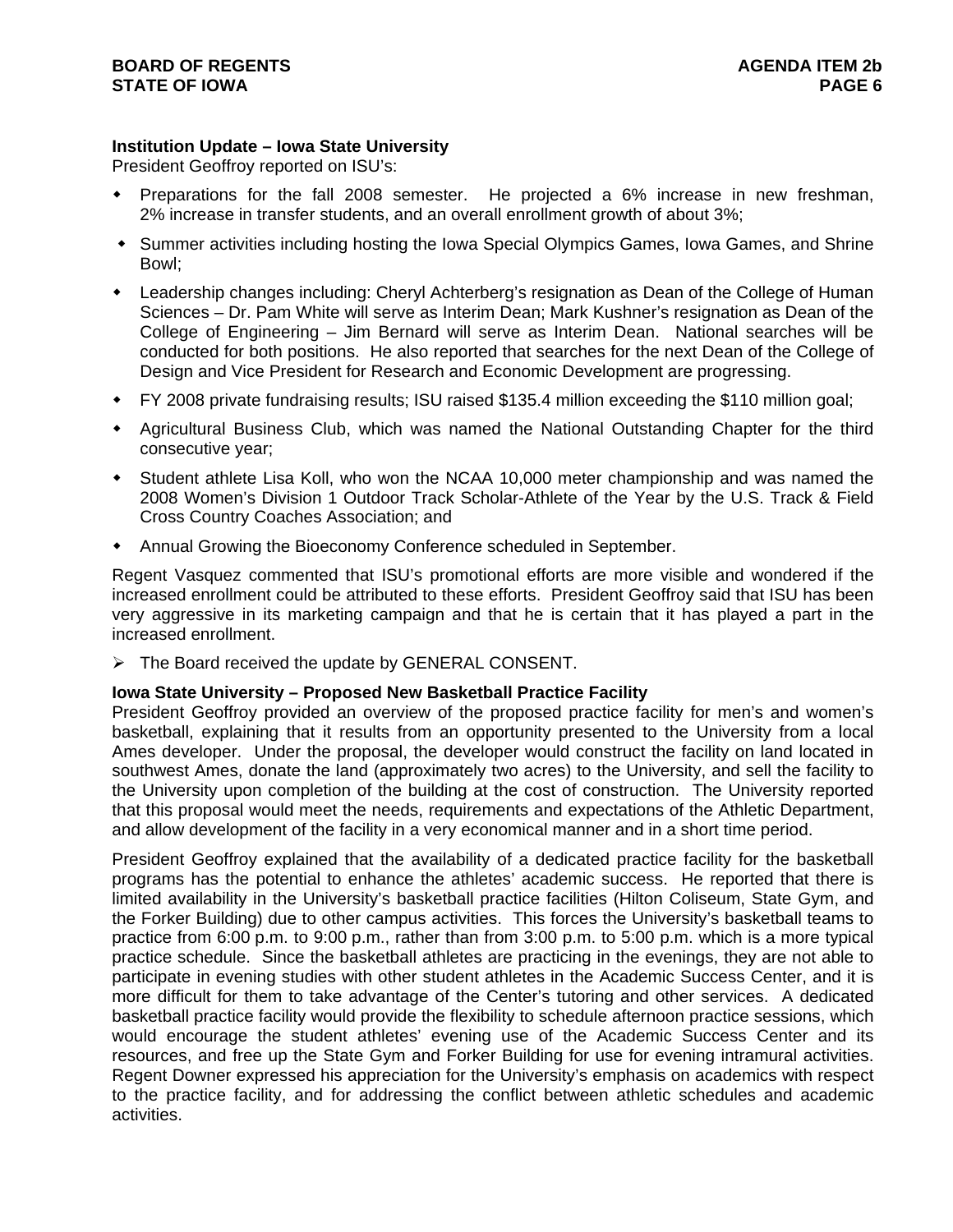# **Institution Update – Iowa State University**

President Geoffroy reported on ISU's:

- Preparations for the fall 2008 semester. He projected a 6% increase in new freshman, 2% increase in transfer students, and an overall enrollment growth of about 3%;
- Summer activities including hosting the Iowa Special Olympics Games, Iowa Games, and Shrine Bowl;
- Leadership changes including: Cheryl Achterberg's resignation as Dean of the College of Human Sciences – Dr. Pam White will serve as Interim Dean; Mark Kushner's resignation as Dean of the College of Engineering – Jim Bernard will serve as Interim Dean. National searches will be conducted for both positions. He also reported that searches for the next Dean of the College of Design and Vice President for Research and Economic Development are progressing.
- FY 2008 private fundraising results; ISU raised \$135.4 million exceeding the \$110 million goal;
- Agricultural Business Club, which was named the National Outstanding Chapter for the third consecutive year;
- Student athlete Lisa Koll, who won the NCAA 10,000 meter championship and was named the 2008 Women's Division 1 Outdoor Track Scholar-Athlete of the Year by the U.S. Track & Field Cross Country Coaches Association; and
- Annual Growing the Bioeconomy Conference scheduled in September.

Regent Vasquez commented that ISU's promotional efforts are more visible and wondered if the increased enrollment could be attributed to these efforts. President Geoffroy said that ISU has been very aggressive in its marketing campaign and that he is certain that it has played a part in the increased enrollment.

 $\triangleright$  The Board received the update by GENERAL CONSENT.

## **Iowa State University – Proposed New Basketball Practice Facility**

President Geoffroy provided an overview of the proposed practice facility for men's and women's basketball, explaining that it results from an opportunity presented to the University from a local Ames developer. Under the proposal, the developer would construct the facility on land located in southwest Ames, donate the land (approximately two acres) to the University, and sell the facility to the University upon completion of the building at the cost of construction. The University reported that this proposal would meet the needs, requirements and expectations of the Athletic Department, and allow development of the facility in a very economical manner and in a short time period.

President Geoffroy explained that the availability of a dedicated practice facility for the basketball programs has the potential to enhance the athletes' academic success. He reported that there is limited availability in the University's basketball practice facilities (Hilton Coliseum, State Gym, and the Forker Building) due to other campus activities. This forces the University's basketball teams to practice from 6:00 p.m. to 9:00 p.m., rather than from 3:00 p.m. to 5:00 p.m. which is a more typical practice schedule. Since the basketball athletes are practicing in the evenings, they are not able to participate in evening studies with other student athletes in the Academic Success Center, and it is more difficult for them to take advantage of the Center's tutoring and other services. A dedicated basketball practice facility would provide the flexibility to schedule afternoon practice sessions, which would encourage the student athletes' evening use of the Academic Success Center and its resources, and free up the State Gym and Forker Building for use for evening intramural activities. Regent Downer expressed his appreciation for the University's emphasis on academics with respect to the practice facility, and for addressing the conflict between athletic schedules and academic activities.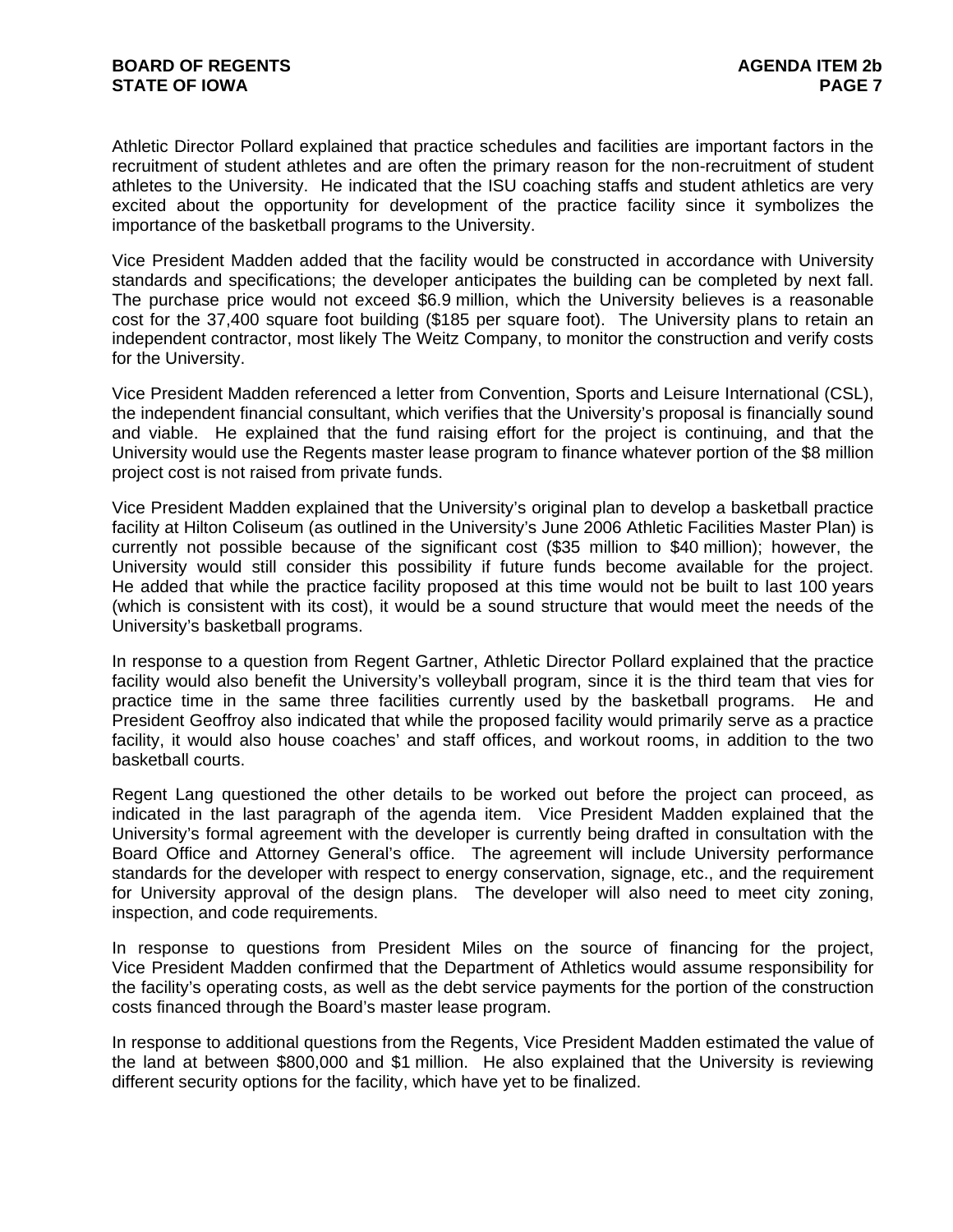Athletic Director Pollard explained that practice schedules and facilities are important factors in the recruitment of student athletes and are often the primary reason for the non-recruitment of student athletes to the University. He indicated that the ISU coaching staffs and student athletics are very excited about the opportunity for development of the practice facility since it symbolizes the importance of the basketball programs to the University.

Vice President Madden added that the facility would be constructed in accordance with University standards and specifications; the developer anticipates the building can be completed by next fall. The purchase price would not exceed \$6.9 million, which the University believes is a reasonable cost for the 37,400 square foot building (\$185 per square foot). The University plans to retain an independent contractor, most likely The Weitz Company, to monitor the construction and verify costs for the University.

Vice President Madden referenced a letter from Convention, Sports and Leisure International (CSL), the independent financial consultant, which verifies that the University's proposal is financially sound and viable. He explained that the fund raising effort for the project is continuing, and that the University would use the Regents master lease program to finance whatever portion of the \$8 million project cost is not raised from private funds.

Vice President Madden explained that the University's original plan to develop a basketball practice facility at Hilton Coliseum (as outlined in the University's June 2006 Athletic Facilities Master Plan) is currently not possible because of the significant cost (\$35 million to \$40 million); however, the University would still consider this possibility if future funds become available for the project. He added that while the practice facility proposed at this time would not be built to last 100 years (which is consistent with its cost), it would be a sound structure that would meet the needs of the University's basketball programs.

In response to a question from Regent Gartner, Athletic Director Pollard explained that the practice facility would also benefit the University's volleyball program, since it is the third team that vies for practice time in the same three facilities currently used by the basketball programs. He and President Geoffroy also indicated that while the proposed facility would primarily serve as a practice facility, it would also house coaches' and staff offices, and workout rooms, in addition to the two basketball courts.

Regent Lang questioned the other details to be worked out before the project can proceed, as indicated in the last paragraph of the agenda item. Vice President Madden explained that the University's formal agreement with the developer is currently being drafted in consultation with the Board Office and Attorney General's office. The agreement will include University performance standards for the developer with respect to energy conservation, signage, etc., and the requirement for University approval of the design plans. The developer will also need to meet city zoning, inspection, and code requirements.

In response to questions from President Miles on the source of financing for the project, Vice President Madden confirmed that the Department of Athletics would assume responsibility for the facility's operating costs, as well as the debt service payments for the portion of the construction costs financed through the Board's master lease program.

In response to additional questions from the Regents, Vice President Madden estimated the value of the land at between \$800,000 and \$1 million. He also explained that the University is reviewing different security options for the facility, which have yet to be finalized.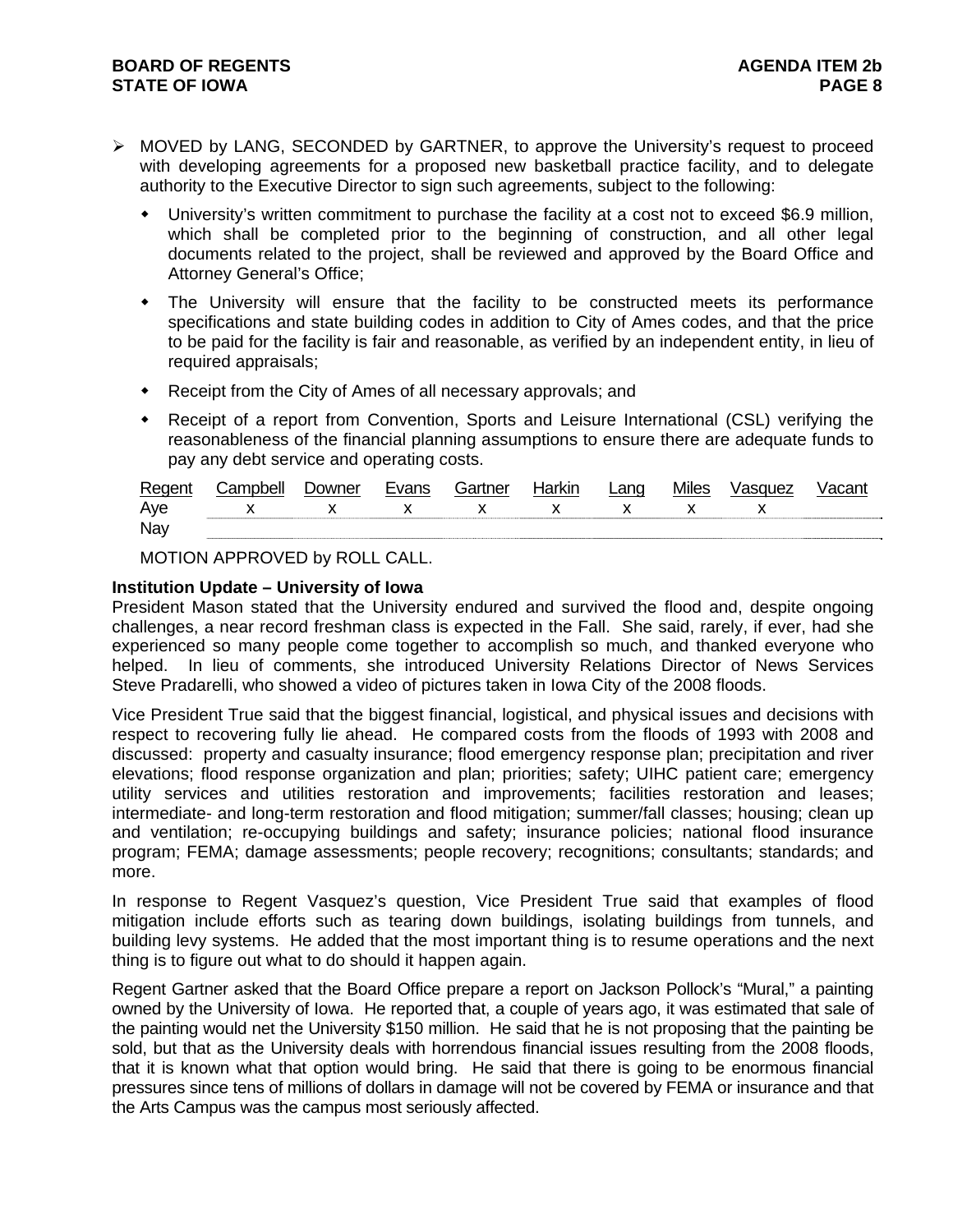- ¾ MOVED by LANG, SECONDED by GARTNER, to approve the University's request to proceed with developing agreements for a proposed new basketball practice facility, and to delegate authority to the Executive Director to sign such agreements, subject to the following:
	- University's written commitment to purchase the facility at a cost not to exceed \$6.9 million, which shall be completed prior to the beginning of construction, and all other legal documents related to the project, shall be reviewed and approved by the Board Office and Attorney General's Office;
	- The University will ensure that the facility to be constructed meets its performance specifications and state building codes in addition to City of Ames codes, and that the price to be paid for the facility is fair and reasonable, as verified by an independent entity, in lieu of required appraisals;
	- Receipt from the City of Ames of all necessary approvals; and
	- Receipt of a report from Convention, Sports and Leisure International (CSL) verifying the reasonableness of the financial planning assumptions to ensure there are adequate funds to pay any debt service and operating costs.

| Regent | Campbell       | <i>D</i> owner | Evans                                                                                                                                                                                                                                                                                                                           | Gartner        | Harkin | Lang        | <b>Miles</b> | Vasquez | Vacant |
|--------|----------------|----------------|---------------------------------------------------------------------------------------------------------------------------------------------------------------------------------------------------------------------------------------------------------------------------------------------------------------------------------|----------------|--------|-------------|--------------|---------|--------|
| Aye    | $\mathsf{x}$ x |                | $\mathbf x$ and $\mathbf x$ and $\mathbf x$ and $\mathbf x$ and $\mathbf x$ and $\mathbf x$ and $\mathbf x$ and $\mathbf x$ and $\mathbf x$ and $\mathbf x$ and $\mathbf x$ and $\mathbf x$ and $\mathbf x$ and $\mathbf x$ and $\mathbf x$ and $\mathbf x$ and $\mathbf x$ and $\mathbf x$ and $\mathbf x$ and $\mathbf x$ and | $\mathsf{X}$ x |        | $\mathbf x$ |              |         |        |
| Nay    |                |                |                                                                                                                                                                                                                                                                                                                                 |                |        |             |              |         |        |

MOTION APPROVED by ROLL CALL.

### **Institution Update – University of Iowa**

President Mason stated that the University endured and survived the flood and, despite ongoing challenges, a near record freshman class is expected in the Fall. She said, rarely, if ever, had she experienced so many people come together to accomplish so much, and thanked everyone who helped. In lieu of comments, she introduced University Relations Director of News Services Steve Pradarelli, who showed a video of pictures taken in Iowa City of the 2008 floods.

Vice President True said that the biggest financial, logistical, and physical issues and decisions with respect to recovering fully lie ahead. He compared costs from the floods of 1993 with 2008 and discussed: property and casualty insurance; flood emergency response plan; precipitation and river elevations; flood response organization and plan; priorities; safety; UIHC patient care; emergency utility services and utilities restoration and improvements; facilities restoration and leases; intermediate- and long-term restoration and flood mitigation; summer/fall classes; housing; clean up and ventilation; re-occupying buildings and safety; insurance policies; national flood insurance program; FEMA; damage assessments; people recovery; recognitions; consultants; standards; and more.

In response to Regent Vasquez's question, Vice President True said that examples of flood mitigation include efforts such as tearing down buildings, isolating buildings from tunnels, and building levy systems. He added that the most important thing is to resume operations and the next thing is to figure out what to do should it happen again.

Regent Gartner asked that the Board Office prepare a report on Jackson Pollock's "Mural," a painting owned by the University of Iowa. He reported that, a couple of years ago, it was estimated that sale of the painting would net the University \$150 million. He said that he is not proposing that the painting be sold, but that as the University deals with horrendous financial issues resulting from the 2008 floods, that it is known what that option would bring. He said that there is going to be enormous financial pressures since tens of millions of dollars in damage will not be covered by FEMA or insurance and that the Arts Campus was the campus most seriously affected.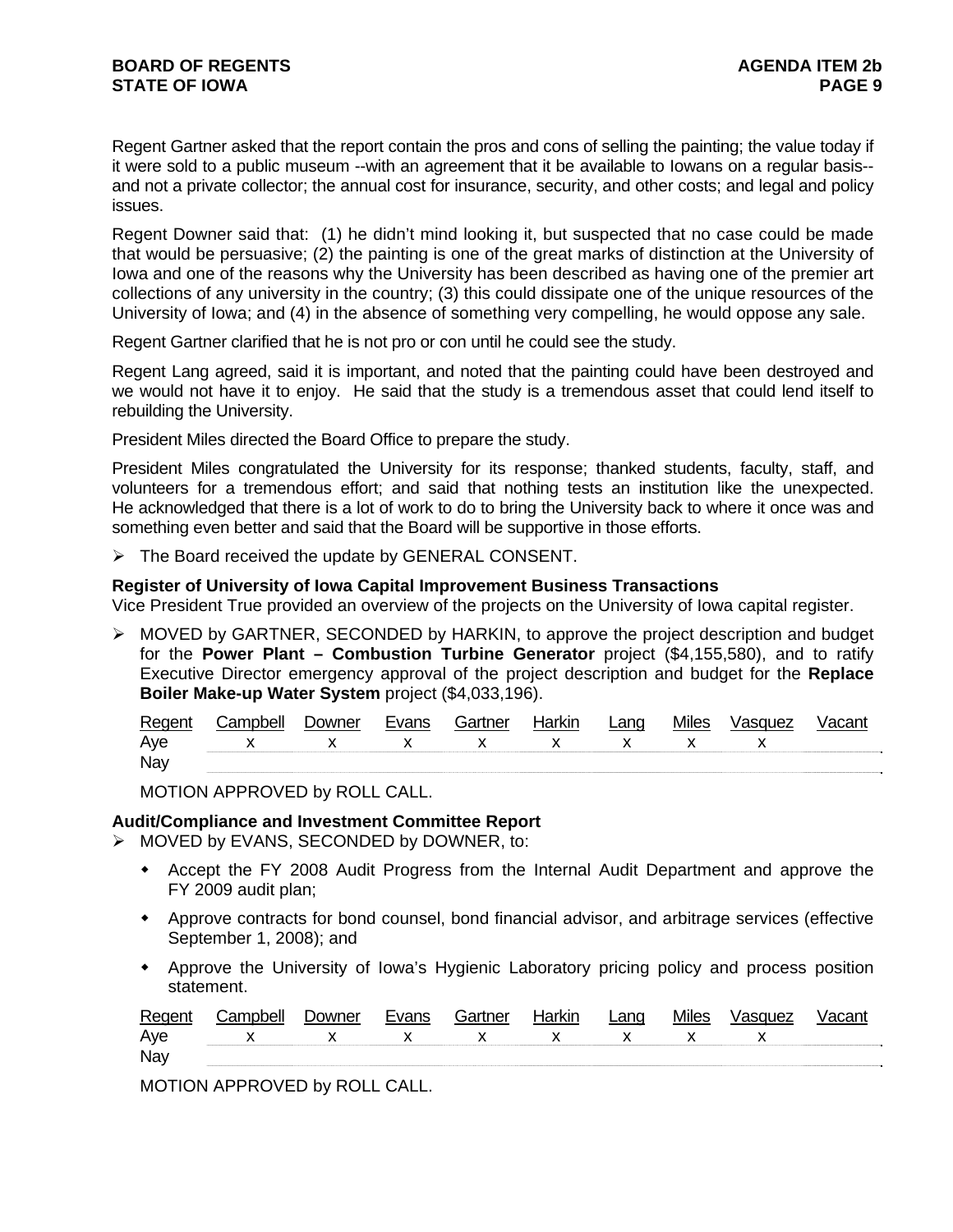Regent Gartner asked that the report contain the pros and cons of selling the painting; the value today if it were sold to a public museum --with an agreement that it be available to Iowans on a regular basis- and not a private collector; the annual cost for insurance, security, and other costs; and legal and policy issues.

Regent Downer said that: (1) he didn't mind looking it, but suspected that no case could be made that would be persuasive; (2) the painting is one of the great marks of distinction at the University of Iowa and one of the reasons why the University has been described as having one of the premier art collections of any university in the country; (3) this could dissipate one of the unique resources of the University of Iowa; and (4) in the absence of something very compelling, he would oppose any sale.

Regent Gartner clarified that he is not pro or con until he could see the study.

Regent Lang agreed, said it is important, and noted that the painting could have been destroyed and we would not have it to enjoy. He said that the study is a tremendous asset that could lend itself to rebuilding the University.

President Miles directed the Board Office to prepare the study.

President Miles congratulated the University for its response; thanked students, faculty, staff, and volunteers for a tremendous effort; and said that nothing tests an institution like the unexpected. He acknowledged that there is a lot of work to do to bring the University back to where it once was and something even better and said that the Board will be supportive in those efforts.

¾ The Board received the update by GENERAL CONSENT.

### **Register of University of Iowa Capital Improvement Business Transactions**

Vice President True provided an overview of the projects on the University of Iowa capital register.

¾ MOVED by GARTNER, SECONDED by HARKIN, to approve the project description and budget for the **Power Plant – Combustion Turbine Generator** project (\$4,155,580), and to ratify Executive Director emergency approval of the project description and budget for the **Replace Boiler Make-up Water System** project (\$4,033,196).

| Regent | ampbell:       | <b>Downer</b> | Evans        | Gartner                     | . Harkir | ∟ang         | <b>Miles</b> | Vasquez |  |
|--------|----------------|---------------|--------------|-----------------------------|----------|--------------|--------------|---------|--|
| Aye    | $\mathsf{x}$ x |               | $\mathbf{x}$ | $\mathsf{x}$ x $\mathsf{x}$ |          | $\mathsf{X}$ |              |         |  |
| Nay    |                |               |              |                             |          |              |              |         |  |

MOTION APPROVED by ROLL CALL.

## **Audit/Compliance and Investment Committee Report**

- ¾ MOVED by EVANS, SECONDED by DOWNER, to:
	- Accept the FY 2008 Audit Progress from the Internal Audit Department and approve the FY 2009 audit plan;
	- Approve contracts for bond counsel, bond financial advisor, and arbitrage services (effective September 1, 2008); and
	- Approve the University of Iowa's Hygienic Laboratory pricing policy and process position statement.

| Regent | Campbell          | Downer | Evans | Gartner | Harkin | Lang                        | <b>Miles</b> | Vasquez | Vacant |
|--------|-------------------|--------|-------|---------|--------|-----------------------------|--------------|---------|--------|
| Aye    | $X$ x $X$ x $X$ x |        |       |         |        | $\mathsf{x}$ x $\mathsf{x}$ |              |         |        |
| Nay    |                   |        |       |         |        |                             |              |         |        |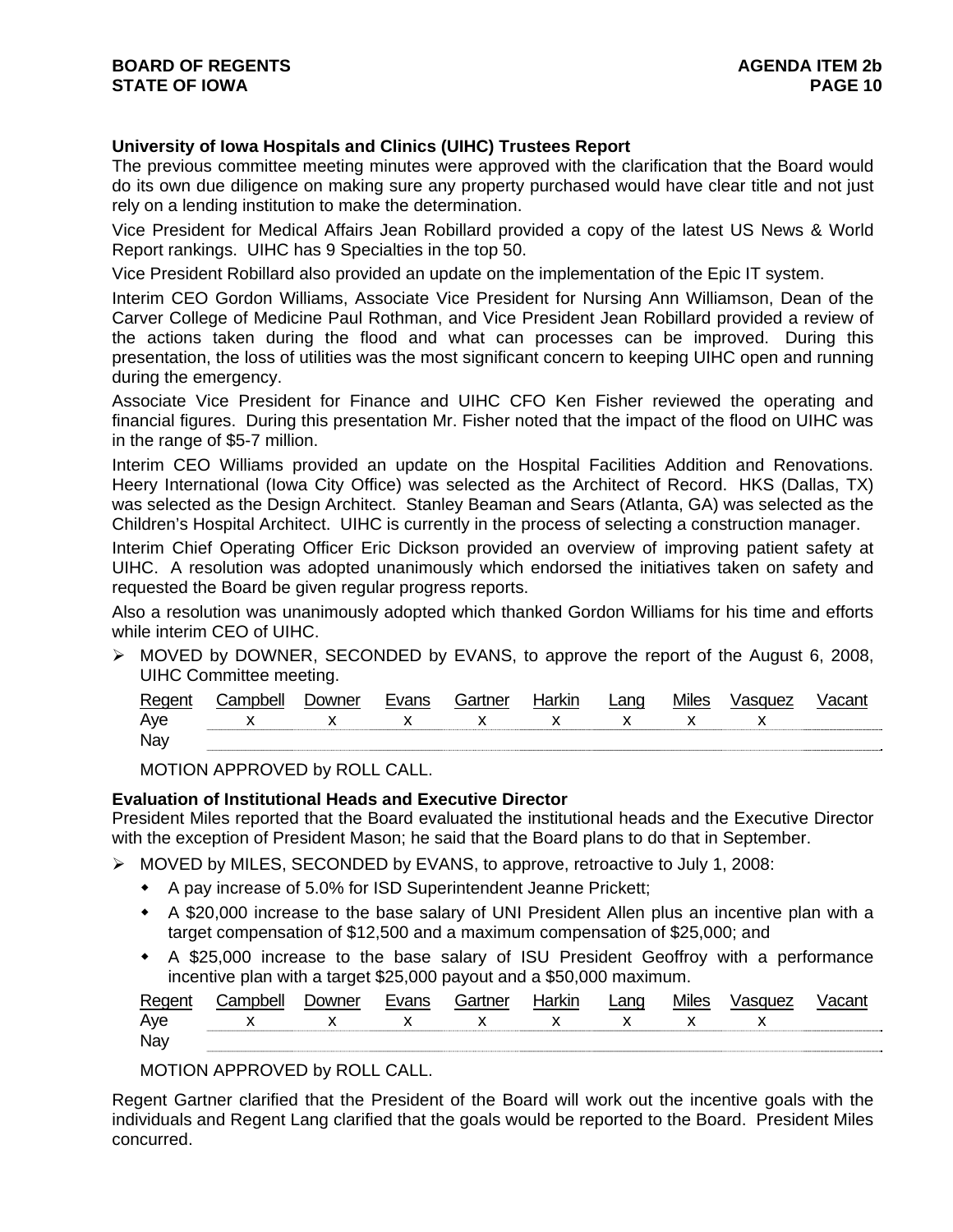# **University of Iowa Hospitals and Clinics (UIHC) Trustees Report**

The previous committee meeting minutes were approved with the clarification that the Board would do its own due diligence on making sure any property purchased would have clear title and not just rely on a lending institution to make the determination.

Vice President for Medical Affairs Jean Robillard provided a copy of the latest US News & World Report rankings. UIHC has 9 Specialties in the top 50.

Vice President Robillard also provided an update on the implementation of the Epic IT system.

Interim CEO Gordon Williams, Associate Vice President for Nursing Ann Williamson, Dean of the Carver College of Medicine Paul Rothman, and Vice President Jean Robillard provided a review of the actions taken during the flood and what can processes can be improved. During this presentation, the loss of utilities was the most significant concern to keeping UIHC open and running during the emergency.

Associate Vice President for Finance and UIHC CFO Ken Fisher reviewed the operating and financial figures. During this presentation Mr. Fisher noted that the impact of the flood on UIHC was in the range of \$5-7 million.

Interim CEO Williams provided an update on the Hospital Facilities Addition and Renovations. Heery International (Iowa City Office) was selected as the Architect of Record. HKS (Dallas, TX) was selected as the Design Architect. Stanley Beaman and Sears (Atlanta, GA) was selected as the Children's Hospital Architect. UIHC is currently in the process of selecting a construction manager.

Interim Chief Operating Officer Eric Dickson provided an overview of improving patient safety at UIHC. A resolution was adopted unanimously which endorsed the initiatives taken on safety and requested the Board be given regular progress reports.

Also a resolution was unanimously adopted which thanked Gordon Williams for his time and efforts while interim CEO of UIHC.

 $\triangleright$  MOVED by DOWNER, SECONDED by EVANS, to approve the report of the August 6, 2008, UIHC Committee meeting.

| Regen | `amnhall | Jowner | Fyanc | Gartner | larkın | Lano | <b>Miles</b> | /asquez |  |
|-------|----------|--------|-------|---------|--------|------|--------------|---------|--|
| Aye   |          |        |       | ,,      |        |      |              |         |  |
| Nay   |          |        |       |         |        |      |              |         |  |

MOTION APPROVED by ROLL CALL.

## **Evaluation of Institutional Heads and Executive Director**

President Miles reported that the Board evaluated the institutional heads and the Executive Director with the exception of President Mason; he said that the Board plans to do that in September.

- ¾ MOVED by MILES, SECONDED by EVANS, to approve, retroactive to July 1, 2008:
	- A pay increase of 5.0% for ISD Superintendent Jeanne Prickett;
	- A \$20,000 increase to the base salary of UNI President Allen plus an incentive plan with a target compensation of \$12,500 and a maximum compensation of \$25,000; and
	- A \$25,000 increase to the base salary of ISU President Geoffroy with a performance incentive plan with a target \$25,000 payout and a \$50,000 maximum.

| Regent | Campbell          | Downer | Evans | Gartner | Harkin | Lang | <b>Miles</b> | Vasquez |  |
|--------|-------------------|--------|-------|---------|--------|------|--------------|---------|--|
| Aye    | x x x x x x x x x |        |       |         |        |      |              |         |  |
| Nay    |                   |        |       |         |        |      |              |         |  |

# MOTION APPROVED by ROLL CALL.

Regent Gartner clarified that the President of the Board will work out the incentive goals with the individuals and Regent Lang clarified that the goals would be reported to the Board. President Miles concurred.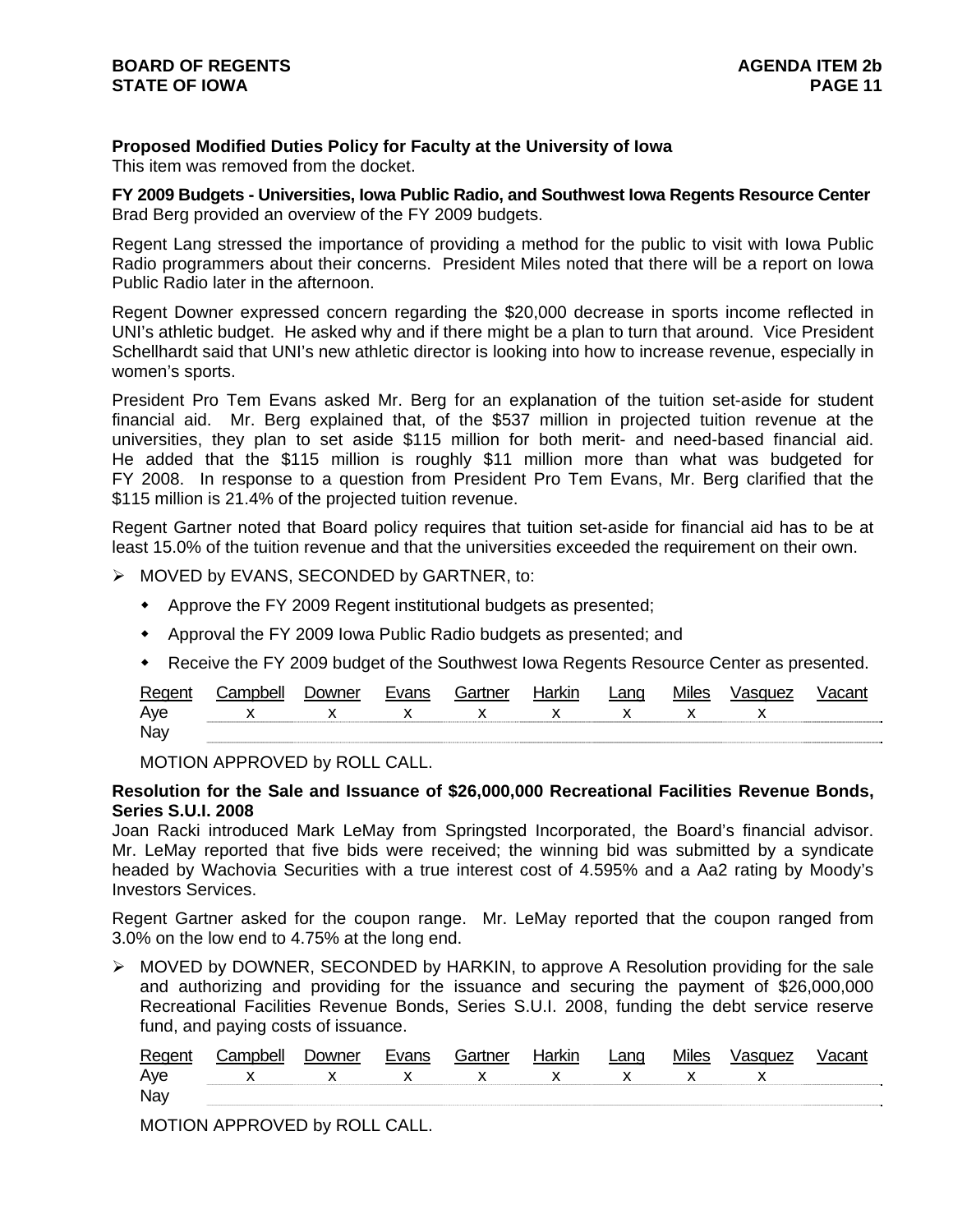**Proposed Modified Duties Policy for Faculty at the University of Iowa**

This item was removed from the docket.

**FY 2009 Budgets - Universities, Iowa Public Radio, and Southwest Iowa Regents Resource Center**  Brad Berg provided an overview of the FY 2009 budgets.

Regent Lang stressed the importance of providing a method for the public to visit with Iowa Public Radio programmers about their concerns. President Miles noted that there will be a report on Iowa Public Radio later in the afternoon.

Regent Downer expressed concern regarding the \$20,000 decrease in sports income reflected in UNI's athletic budget. He asked why and if there might be a plan to turn that around. Vice President Schellhardt said that UNI's new athletic director is looking into how to increase revenue, especially in women's sports.

President Pro Tem Evans asked Mr. Berg for an explanation of the tuition set-aside for student financial aid. Mr. Berg explained that, of the \$537 million in projected tuition revenue at the universities, they plan to set aside \$115 million for both merit- and need-based financial aid. He added that the \$115 million is roughly \$11 million more than what was budgeted for FY 2008. In response to a question from President Pro Tem Evans, Mr. Berg clarified that the \$115 million is 21.4% of the projected tuition revenue.

Regent Gartner noted that Board policy requires that tuition set-aside for financial aid has to be at least 15.0% of the tuition revenue and that the universities exceeded the requirement on their own.

- ¾ MOVED by EVANS, SECONDED by GARTNER, to:
	- Approve the FY 2009 Regent institutional budgets as presented;
	- Approval the FY 2009 Iowa Public Radio budgets as presented; and
	- Receive the FY 2009 budget of the Southwest Iowa Regents Resource Center as presented.

| Regent | ;amnhell                  | <b>Jowner</b> | Evans | Gartner   | Harkin | ∟ang                                                                                                                                                                                                                                                                                             | <b>Miles</b> | Vasquez |  |
|--------|---------------------------|---------------|-------|-----------|--------|--------------------------------------------------------------------------------------------------------------------------------------------------------------------------------------------------------------------------------------------------------------------------------------------------|--------------|---------|--|
| Aye    | $\mathsf{X}$ $\mathsf{X}$ |               |       | $X$ x x x |        | $\mathsf{X}$ and $\mathsf{X}$ and $\mathsf{X}$ are $\mathsf{X}$ and $\mathsf{X}$ are $\mathsf{X}$ and $\mathsf{X}$ are $\mathsf{X}$ and $\mathsf{X}$ are $\mathsf{X}$ and $\mathsf{X}$ are $\mathsf{X}$ and $\mathsf{X}$ are $\mathsf{X}$ and $\mathsf{X}$ are $\mathsf{X}$ and $\mathsf{X}$ are |              |         |  |
| Nay    |                           |               |       |           |        |                                                                                                                                                                                                                                                                                                  |              |         |  |

MOTION APPROVED by ROLL CALL.

### **Resolution for the Sale and Issuance of \$26,000,000 Recreational Facilities Revenue Bonds, Series S.U.I. 2008**

Joan Racki introduced Mark LeMay from Springsted Incorporated, the Board's financial advisor. Mr. LeMay reported that five bids were received; the winning bid was submitted by a syndicate headed by Wachovia Securities with a true interest cost of 4.595% and a Aa2 rating by Moody's Investors Services.

Regent Gartner asked for the coupon range. Mr. LeMay reported that the coupon ranged from 3.0% on the low end to 4.75% at the long end.

¾ MOVED by DOWNER, SECONDED by HARKIN, to approve A Resolution providing for the sale and authorizing and providing for the issuance and securing the payment of \$26,000,000 Recreational Facilities Revenue Bonds, Series S.U.I. 2008, funding the debt service reserve fund, and paying costs of issuance.

| Rea |              | ועת<br>ושו |                                          | <br>∟ano | Miles |  |
|-----|--------------|------------|------------------------------------------|----------|-------|--|
| Ave | $\checkmark$ |            | $\mathbf{x}$<br>$\overline{\phantom{a}}$ |          |       |  |
| Nay |              |            |                                          |          |       |  |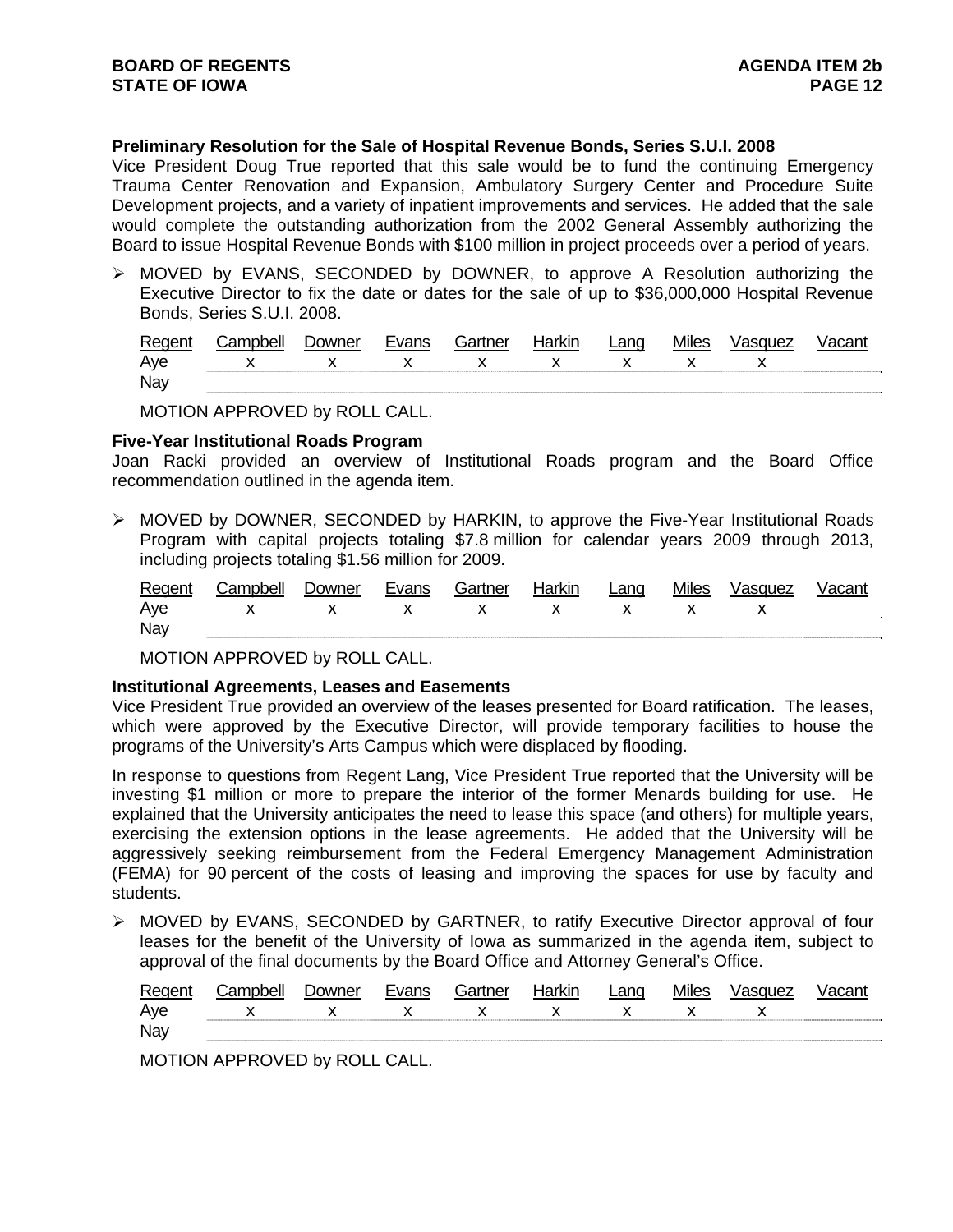# **Preliminary Resolution for the Sale of Hospital Revenue Bonds, Series S.U.I. 2008**

Vice President Doug True reported that this sale would be to fund the continuing Emergency Trauma Center Renovation and Expansion, Ambulatory Surgery Center and Procedure Suite Development projects, and a variety of inpatient improvements and services. He added that the sale would complete the outstanding authorization from the 2002 General Assembly authorizing the Board to issue Hospital Revenue Bonds with \$100 million in project proceeds over a period of years.

¾ MOVED by EVANS, SECONDED by DOWNER, to approve A Resolution authorizing the Executive Director to fix the date or dates for the sale of up to \$36,000,000 Hospital Revenue Bonds, Series S.U.I. 2008.

| Regent | Campbell | Jowner | Evans | Gartner | Harkin | Lang | <b>Miles</b> | Vasquez | Vacant |
|--------|----------|--------|-------|---------|--------|------|--------------|---------|--------|
| Aye    |          |        |       |         |        |      |              |         |        |
| Nay    |          |        |       |         |        |      |              |         |        |

MOTION APPROVED by ROLL CALL.

#### **Five-Year Institutional Roads Program**

Joan Racki provided an overview of Institutional Roads program and the Board Office recommendation outlined in the agenda item.

¾ MOVED by DOWNER, SECONDED by HARKIN, to approve the Five-Year Institutional Roads Program with capital projects totaling \$7.8 million for calendar years 2009 through 2013, including projects totaling \$1.56 million for 2009.

| Regent | Campbell | Downer | Evans | Gartner | Harkin | Lang | <b>Miles</b> | Vasquez | Vacant |
|--------|----------|--------|-------|---------|--------|------|--------------|---------|--------|
| Aye    |          |        |       |         |        |      |              |         |        |
| Nay    |          |        |       |         |        |      |              |         |        |

MOTION APPROVED by ROLL CALL.

#### **Institutional Agreements, Leases and Easements**

Vice President True provided an overview of the leases presented for Board ratification. The leases, which were approved by the Executive Director, will provide temporary facilities to house the programs of the University's Arts Campus which were displaced by flooding.

In response to questions from Regent Lang, Vice President True reported that the University will be investing \$1 million or more to prepare the interior of the former Menards building for use. He explained that the University anticipates the need to lease this space (and others) for multiple years, exercising the extension options in the lease agreements. He added that the University will be aggressively seeking reimbursement from the Federal Emergency Management Administration (FEMA) for 90 percent of the costs of leasing and improving the spaces for use by faculty and students.

¾ MOVED by EVANS, SECONDED by GARTNER, to ratify Executive Director approval of four leases for the benefit of the University of Iowa as summarized in the agenda item, subject to approval of the final documents by the Board Office and Attorney General's Office.

| Regent |               |  | . ≟artnor | Lano |  |  |
|--------|---------------|--|-----------|------|--|--|
| Aye    | x x x x x x x |  |           |      |  |  |
| Nay    |               |  |           |      |  |  |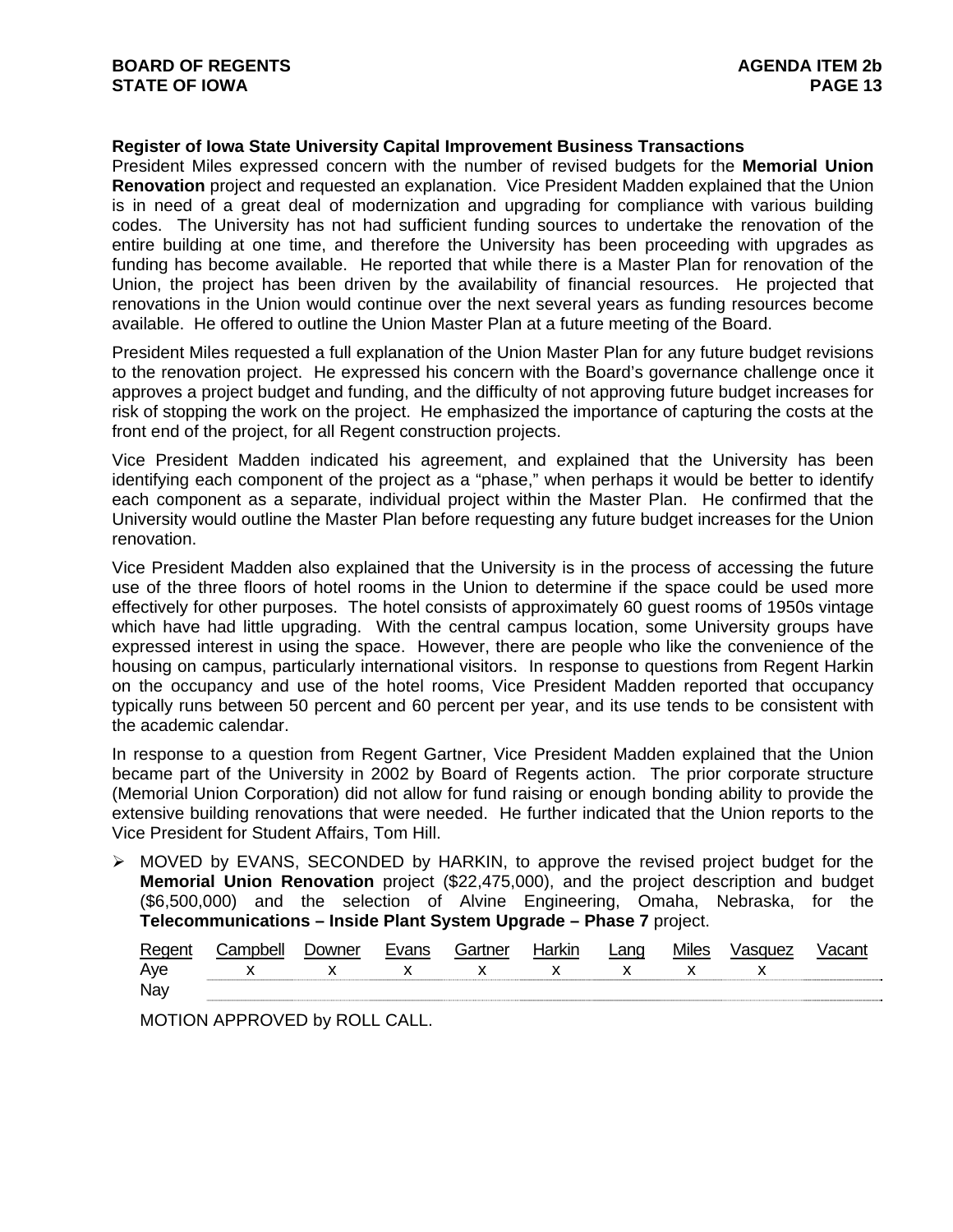# **Register of Iowa State University Capital Improvement Business Transactions**

President Miles expressed concern with the number of revised budgets for the **Memorial Union Renovation** project and requested an explanation. Vice President Madden explained that the Union is in need of a great deal of modernization and upgrading for compliance with various building codes. The University has not had sufficient funding sources to undertake the renovation of the entire building at one time, and therefore the University has been proceeding with upgrades as funding has become available. He reported that while there is a Master Plan for renovation of the Union, the project has been driven by the availability of financial resources. He projected that renovations in the Union would continue over the next several years as funding resources become available. He offered to outline the Union Master Plan at a future meeting of the Board.

President Miles requested a full explanation of the Union Master Plan for any future budget revisions to the renovation project. He expressed his concern with the Board's governance challenge once it approves a project budget and funding, and the difficulty of not approving future budget increases for risk of stopping the work on the project. He emphasized the importance of capturing the costs at the front end of the project, for all Regent construction projects.

Vice President Madden indicated his agreement, and explained that the University has been identifying each component of the project as a "phase," when perhaps it would be better to identify each component as a separate, individual project within the Master Plan. He confirmed that the University would outline the Master Plan before requesting any future budget increases for the Union renovation.

Vice President Madden also explained that the University is in the process of accessing the future use of the three floors of hotel rooms in the Union to determine if the space could be used more effectively for other purposes. The hotel consists of approximately 60 guest rooms of 1950s vintage which have had little upgrading. With the central campus location, some University groups have expressed interest in using the space. However, there are people who like the convenience of the housing on campus, particularly international visitors. In response to questions from Regent Harkin on the occupancy and use of the hotel rooms, Vice President Madden reported that occupancy typically runs between 50 percent and 60 percent per year, and its use tends to be consistent with the academic calendar.

In response to a question from Regent Gartner, Vice President Madden explained that the Union became part of the University in 2002 by Board of Regents action. The prior corporate structure (Memorial Union Corporation) did not allow for fund raising or enough bonding ability to provide the extensive building renovations that were needed. He further indicated that the Union reports to the Vice President for Student Affairs, Tom Hill.

 $\triangleright$  MOVED by EVANS, SECONDED by HARKIN, to approve the revised project budget for the **Memorial Union Renovation** project (\$22,475,000), and the project description and budget (\$6,500,000) and the selection of Alvine Engineering, Omaha, Nebraska, for the **Telecommunications – Inside Plant System Upgrade – Phase 7** project.

| Regent | ∴amnhell        | Jowner | Evans | Gartner | darkir l | Lang | <b>Miles</b> |  |
|--------|-----------------|--------|-------|---------|----------|------|--------------|--|
| Ave    | x x x x x x x x |        |       |         |          |      |              |  |
| Nay    |                 |        |       |         |          |      |              |  |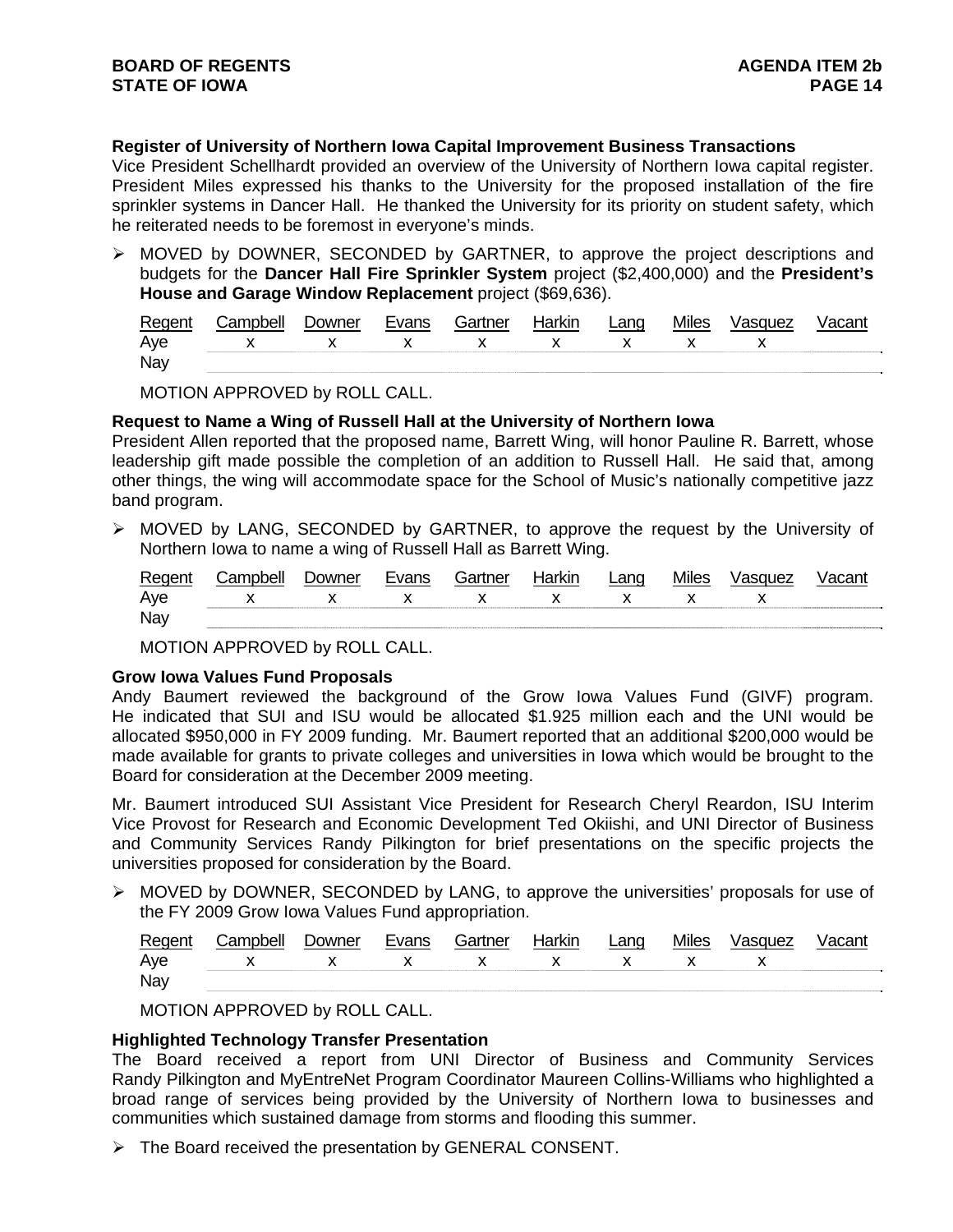# **Register of University of Northern Iowa Capital Improvement Business Transactions**

Vice President Schellhardt provided an overview of the University of Northern Iowa capital register. President Miles expressed his thanks to the University for the proposed installation of the fire sprinkler systems in Dancer Hall. He thanked the University for its priority on student safety, which he reiterated needs to be foremost in everyone's minds.

 $\triangleright$  MOVED by DOWNER, SECONDED by GARTNER, to approve the project descriptions and budgets for the **Dancer Hall Fire Sprinkler System** project (\$2,400,000) and the **President's House and Garage Window Replacement** project (\$69,636).

| Regen |                 | owner |  | larkır | _ano | Mıles | asquez |  |
|-------|-----------------|-------|--|--------|------|-------|--------|--|
| Aye   | X X X X X X X X |       |  |        |      |       |        |  |
| Nay   |                 |       |  |        |      |       |        |  |

MOTION APPROVED by ROLL CALL.

### **Request to Name a Wing of Russell Hall at the University of Northern Iowa**

President Allen reported that the proposed name, Barrett Wing, will honor Pauline R. Barrett, whose leadership gift made possible the completion of an addition to Russell Hall. He said that, among other things, the wing will accommodate space for the School of Music's nationally competitive jazz band program.

¾ MOVED by LANG, SECONDED by GARTNER, to approve the request by the University of Northern Iowa to name a wing of Russell Hall as Barrett Wing.

| Regent | Campbell        | <b>Downer</b> | Evans | Gartner | Harkin | Lang | <b>Miles</b> | Vasquez | /acant |
|--------|-----------------|---------------|-------|---------|--------|------|--------------|---------|--------|
| Aye    | x x x x x x x x |               |       |         |        |      |              |         |        |
| Nay    |                 |               |       |         |        |      |              |         |        |

MOTION APPROVED by ROLL CALL.

## **Grow Iowa Values Fund Proposals**

Andy Baumert reviewed the background of the Grow Iowa Values Fund (GIVF) program. He indicated that SUI and ISU would be allocated \$1.925 million each and the UNI would be allocated \$950,000 in FY 2009 funding. Mr. Baumert reported that an additional \$200,000 would be made available for grants to private colleges and universities in Iowa which would be brought to the Board for consideration at the December 2009 meeting.

Mr. Baumert introduced SUI Assistant Vice President for Research Cheryl Reardon, ISU Interim Vice Provost for Research and Economic Development Ted Okiishi, and UNI Director of Business and Community Services Randy Pilkington for brief presentations on the specific projects the universities proposed for consideration by the Board.

 $\triangleright$  MOVED by DOWNER, SECONDED by LANG, to approve the universities' proposals for use of the FY 2009 Grow Iowa Values Fund appropriation.

| Regen |                 | <b>Jowner</b> |  | ∟ano | Mıles | <i>Jasquez</i> |  |
|-------|-----------------|---------------|--|------|-------|----------------|--|
| Aye   | x x x x x x x x |               |  |      |       |                |  |
| Nay   |                 |               |  |      |       |                |  |

MOTION APPROVED by ROLL CALL.

#### **Highlighted Technology Transfer Presentation**

The Board received a report from UNI Director of Business and Community Services Randy Pilkington and MyEntreNet Program Coordinator Maureen Collins-Williams who highlighted a broad range of services being provided by the University of Northern Iowa to businesses and communities which sustained damage from storms and flooding this summer.

¾ The Board received the presentation by GENERAL CONSENT.